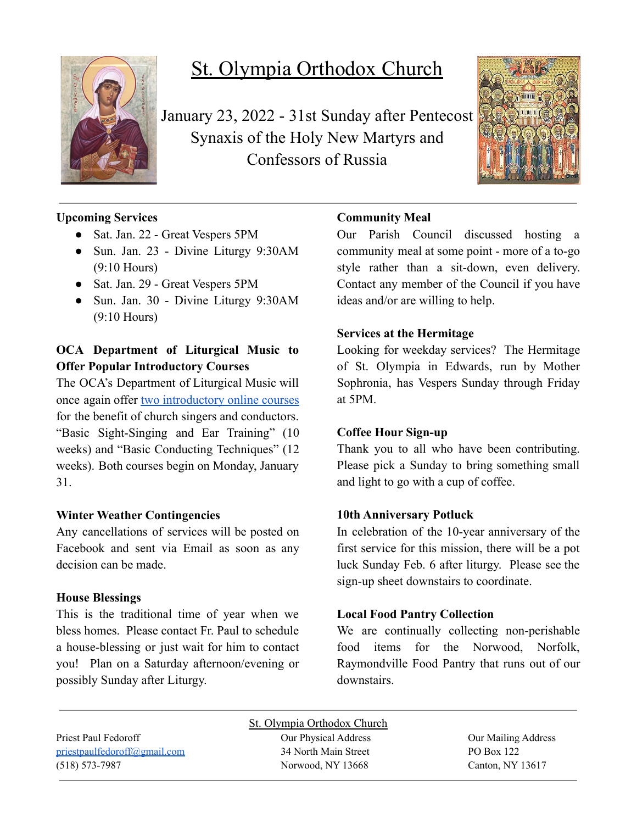

# St. Olympia Orthodox Church

January 23, 2022 - 31st Sunday after Pentecost Synaxis of the Holy New Martyrs and Confessors of Russia



# **Upcoming Services**

- Sat. Jan. 22 Great Vespers 5PM
- Sun. Jan. 23 Divine Liturgy 9:30AM (9:10 Hours)
- Sat. Jan. 29 Great Vespers 5PM
- Sun. Jan. 30 Divine Liturgy 9:30AM (9:10 Hours)

# **OCA Department of Liturgical Music to Offer Popular Introductory Courses**

The OCA's Department of Liturgical Music will once again offer two [introductory](https://www.oca.org/news/headline-news/oca-department-of-liturgical-music-to-offer-popular-introductory-courses) online courses for the benefit of church singers and conductors. "Basic Sight-Singing and Ear Training" (10 weeks) and "Basic Conducting Techniques" (12 weeks). Both courses begin on Monday, January 31.

## **Winter Weather Contingencies**

Any cancellations of services will be posted on Facebook and sent via Email as soon as any decision can be made.

## **House Blessings**

This is the traditional time of year when we bless homes. Please contact Fr. Paul to schedule a house-blessing or just wait for him to contact you! Plan on a Saturday afternoon/evening or possibly Sunday after Liturgy.

# **Community Meal**

Our Parish Council discussed hosting a community meal at some point - more of a to-go style rather than a sit-down, even delivery. Contact any member of the Council if you have ideas and/or are willing to help.

## **Services at the Hermitage**

Looking for weekday services? The Hermitage of St. Olympia in Edwards, run by Mother Sophronia, has Vespers Sunday through Friday at 5PM.

## **Coffee Hour Sign-up**

Thank you to all who have been contributing. Please pick a Sunday to bring something small and light to go with a cup of coffee.

## **10th Anniversary Potluck**

In celebration of the 10-year anniversary of the first service for this mission, there will be a pot luck Sunday Feb. 6 after liturgy. Please see the sign-up sheet downstairs to coordinate.

## **Local Food Pantry Collection**

We are continually collecting non-perishable food items for the Norwood, Norfolk, Raymondville Food Pantry that runs out of our downstairs.

Priest Paul Fedoroff Our Physical Address Our Mailing Address [priestpaulfedoroff@gmail.com](mailto:priestpaulfedoroff@gmail.com) 34 North Main Street PO Box 122 (518) 573-7987 Norwood, NY 13668 Canton, NY 13617

St. Olympia Orthodox Church